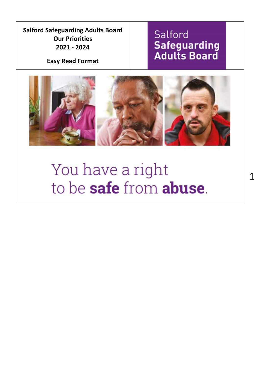**Salford Safeguarding Adults Board Our Priorities 2021 - 2024**

**Easy Read Format**

## Salford **Safeguarding**<br>**Adults Board**



# You have a right to be safe from abuse.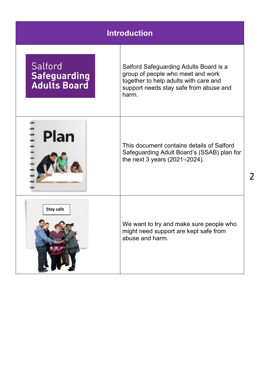| <b>Introduction</b>                                   |                                                                                                                                                                         |  |
|-------------------------------------------------------|-------------------------------------------------------------------------------------------------------------------------------------------------------------------------|--|
| Salford<br><b>Safeguarding</b><br><b>Adults Board</b> | Salford Safeguarding Adults Board is a<br>group of people who meet and work<br>together to help adults with care and<br>support needs stay safe from abuse and<br>harm. |  |
| <b>Plan</b>                                           | This document contains details of Salford<br>Safeguarding Adult Board's (SSAB) plan for<br>the next 3 years (2021-2024).                                                |  |
| <b>Stay safe</b>                                      | We want to try and make sure people who<br>might need support are kept safe from<br>abuse and harm.                                                                     |  |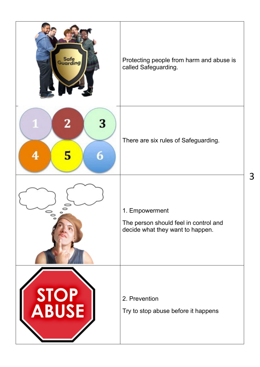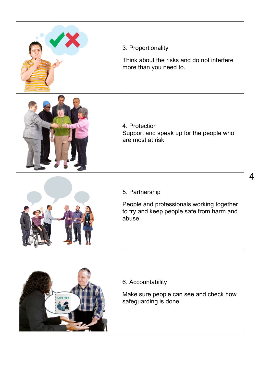| X                | 3. Proportionality<br>Think about the risks and do not interfere<br>more than you need to.                         |
|------------------|--------------------------------------------------------------------------------------------------------------------|
|                  | 4. Protection<br>Support and speak up for the people who<br>are most at risk                                       |
|                  | 5. Partnership<br>People and professionals working together<br>to try and keep people safe from harm and<br>abuse. |
| <b>Care Plan</b> | 6. Accountability<br>Make sure people can see and check how<br>safeguarding is done.                               |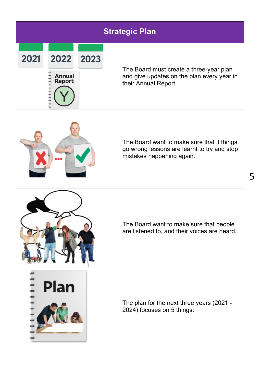|                                                        | <b>Strategic Plan</b>                                                                                                  |  |  |
|--------------------------------------------------------|------------------------------------------------------------------------------------------------------------------------|--|--|
| 2021<br>2022<br>2023<br><b>Annual</b><br><b>Report</b> | The Board must create a three-year plan<br>and give updates on the plan every year in<br>their Annual Report.          |  |  |
|                                                        | The Board want to make sure that if things<br>go wrong lessons are learnt to try and stop<br>mistakes happening again. |  |  |
|                                                        | The Board want to make sure that people<br>are listened to, and their voices are heard.                                |  |  |
| Plan                                                   | The plan for the next three years (2021 -<br>2024) focuses on 5 things:                                                |  |  |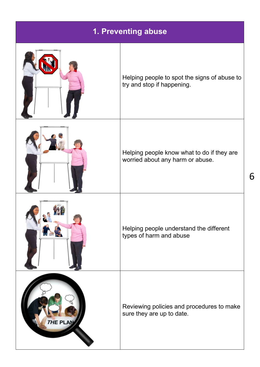|                 | 1. Preventing abuse                                                            |
|-----------------|--------------------------------------------------------------------------------|
|                 | Helping people to spot the signs of abuse to<br>try and stop if happening.     |
|                 | Helping people know what to do if they are<br>worried about any harm or abuse. |
|                 | Helping people understand the different<br>types of harm and abuse             |
| <b>THE PLAN</b> | Reviewing policies and procedures to make<br>sure they are up to date.         |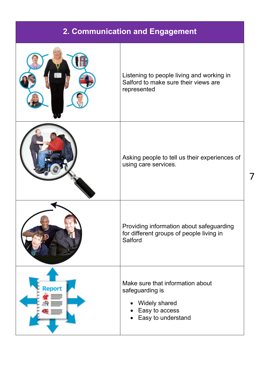#### **2. Communication and Engagement**

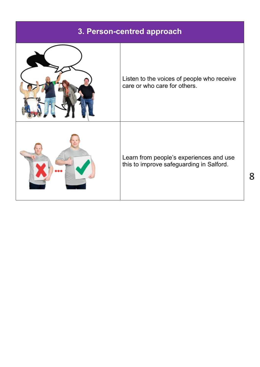#### **3. Person-centred approach**

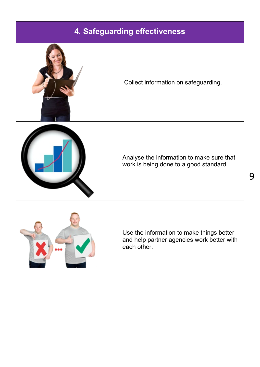### **4. Safeguarding effectiveness**